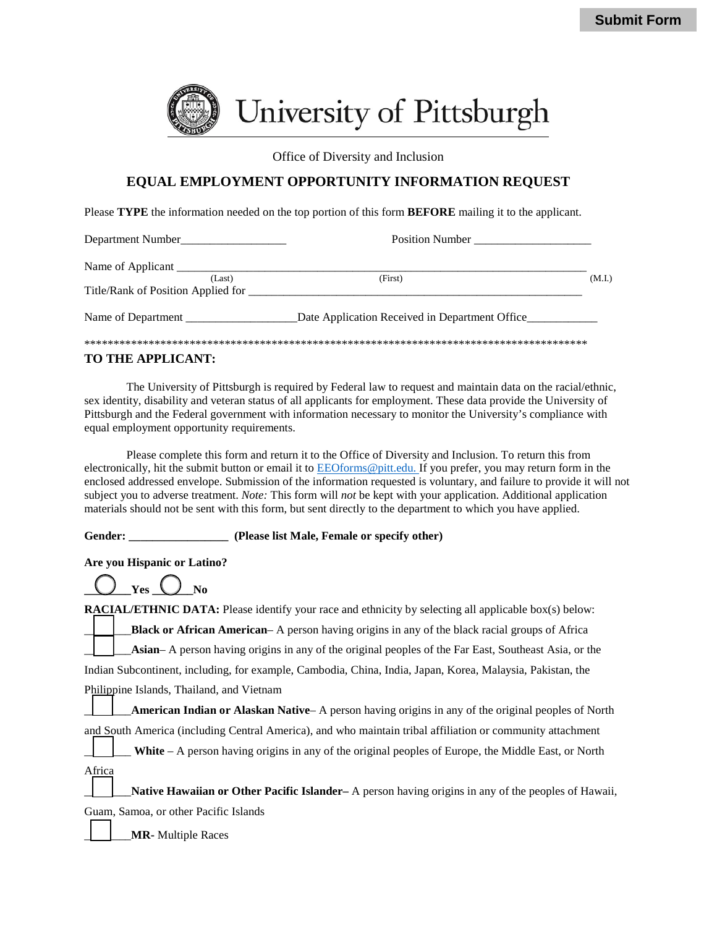

Office of Diversity and Inclusion

# **EQUAL EMPLOYMENT OPPORTUNITY INFORMATION REQUEST**

Please **TYPE** the information needed on the top portion of this form **BEFORE** mailing it to the applicant.

| Department Number                  | <b>Position Number</b>                         |        |
|------------------------------------|------------------------------------------------|--------|
| Name of Applicant                  |                                                |        |
| (Last)                             | (First)                                        | (M.I.) |
| Title/Rank of Position Applied for |                                                |        |
| Name of Department                 | Date Application Received in Department Office |        |
|                                    |                                                |        |

### **TO THE APPLICANT:**

The University of Pittsburgh is required by Federal law to request and maintain data on the racial/ethnic, sex identity, disability and veteran status of all applicants for employment. These data provide the University of Pittsburgh and the Federal government with information necessary to monitor the University's compliance with equal employment opportunity requirements.

Please complete this form and return it to the Office of Diversity and Inclusion. To return this from electronically, hit the submit button or email it to [EEOforms@pitt.edu. If](mailto:EEOforms@pitt.edu.%20If) you prefer, you may return form in the enclosed addressed envelope. Submission of the information requested is voluntary, and failure to provide it will not subject you to adverse treatment. *Note:* This form will *not* be kept with your application. Additional application materials should not be sent with this form, but sent directly to the department to which you have applied.

#### **Gender: \_\_\_\_\_\_\_\_\_\_\_\_\_\_\_\_\_ (Please list Male, Female or specify other)**

**Are you Hispanic or Latino?**

| . . | ш |
|-----|---|
|     |   |

**RACIAL/ETHNIC DATA:** Please identify your race and ethnicity by selecting all applicable box(s) below: \_\_\_\_\_\_\_\_**Black or African American**– A person having origins in any of the black racial groups of Africa \_\_\_\_\_\_\_\_**Asian**– A person having origins in any of the original peoples of the Far East, Southeast Asia, or the Indian Subcontinent, including, for example, Cambodia, China, India, Japan, Korea, Malaysia, Pakistan, the Philippine Islands, Thailand, and Vietnam

\_\_\_\_\_\_\_\_**American Indian or Alaskan Native**– A person having origins in any of the original peoples of North and South America (including Central America), and who maintain tribal affiliation or community attachment

White – A person having origins in any of the original peoples of Europe, the Middle East, or North Africa

\_\_\_\_\_\_\_\_**Native Hawaiian or Other Pacific Islander–** A person having origins in any of the peoples of Hawaii, Guam, Samoa, or other Pacific Islands

\_\_\_\_\_\_\_\_**MR-** Multiple Races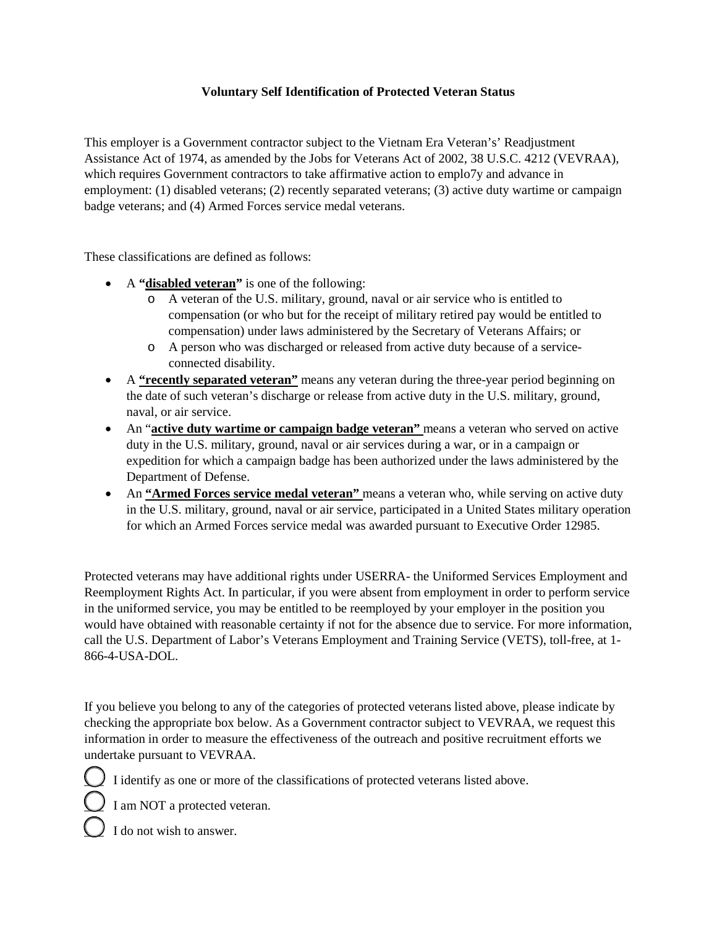# **Voluntary Self Identification of Protected Veteran Status**

This employer is a Government contractor subject to the Vietnam Era Veteran's' Readjustment Assistance Act of 1974, as amended by the Jobs for Veterans Act of 2002, 38 U.S.C. 4212 (VEVRAA), which requires Government contractors to take affirmative action to emplo7y and advance in employment: (1) disabled veterans; (2) recently separated veterans; (3) active duty wartime or campaign badge veterans; and (4) Armed Forces service medal veterans.

These classifications are defined as follows:

- A **"disabled veteran"** is one of the following:
	- o A veteran of the U.S. military, ground, naval or air service who is entitled to compensation (or who but for the receipt of military retired pay would be entitled to compensation) under laws administered by the Secretary of Veterans Affairs; or
	- o A person who was discharged or released from active duty because of a serviceconnected disability.
- A **"recently separated veteran"** means any veteran during the three-year period beginning on the date of such veteran's discharge or release from active duty in the U.S. military, ground, naval, or air service.
- An "**active duty wartime or campaign badge veteran"** means a veteran who served on active duty in the U.S. military, ground, naval or air services during a war, or in a campaign or expedition for which a campaign badge has been authorized under the laws administered by the Department of Defense.
- An **"Armed Forces service medal veteran"** means a veteran who, while serving on active duty in the U.S. military, ground, naval or air service, participated in a United States military operation for which an Armed Forces service medal was awarded pursuant to Executive Order 12985.

Protected veterans may have additional rights under USERRA- the Uniformed Services Employment and Reemployment Rights Act. In particular, if you were absent from employment in order to perform service in the uniformed service, you may be entitled to be reemployed by your employer in the position you would have obtained with reasonable certainty if not for the absence due to service. For more information, call the U.S. Department of Labor's Veterans Employment and Training Service (VETS), toll-free, at 1- 866-4-USA-DOL.

If you believe you belong to any of the categories of protected veterans listed above, please indicate by checking the appropriate box below. As a Government contractor subject to VEVRAA, we request this information in order to measure the effectiveness of the outreach and positive recruitment efforts we undertake pursuant to VEVRAA.

I identify as one or more of the classifications of protected veterans listed above.

 $\bigcup$  I am NOT a protected veteran.

I do not wish to answer.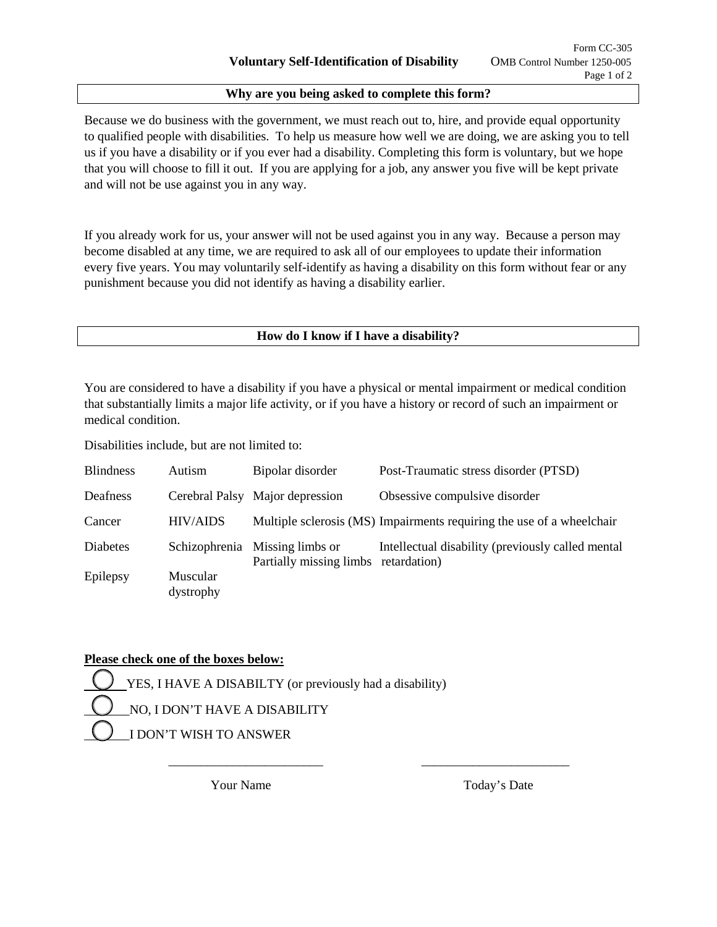### **Why are you being asked to complete this form?**

Because we do business with the government, we must reach out to, hire, and provide equal opportunity to qualified people with disabilities. To help us measure how well we are doing, we are asking you to tell us if you have a disability or if you ever had a disability. Completing this form is voluntary, but we hope that you will choose to fill it out. If you are applying for a job, any answer you five will be kept private and will not be use against you in any way.

If you already work for us, your answer will not be used against you in any way. Because a person may become disabled at any time, we are required to ask all of our employees to update their information every five years. You may voluntarily self-identify as having a disability on this form without fear or any punishment because you did not identify as having a disability earlier.

## **How do I know if I have a disability?**

You are considered to have a disability if you have a physical or mental impairment or medical condition that substantially limits a major life activity, or if you have a history or record of such an impairment or medical condition.

Disabilities include, but are not limited to:

| <b>Blindness</b> | Autism                       | Bipolar disorder                                                       | Post-Traumatic stress disorder (PTSD)                                 |
|------------------|------------------------------|------------------------------------------------------------------------|-----------------------------------------------------------------------|
| Deafness         |                              | Cerebral Palsy Major depression                                        | Obsessive compulsive disorder                                         |
| Cancer           | <b>HIV/AIDS</b>              |                                                                        | Multiple sclerosis (MS) Impairments requiring the use of a wheelchair |
| Diabetes         |                              | Schizophrenia Missing limbs or<br>Partially missing limbs retardation) | Intellectual disability (previously called mental                     |
| Epilepsy         | <b>Muscular</b><br>dystrophy |                                                                        |                                                                       |

 $\overline{\phantom{a}}$  ,  $\overline{\phantom{a}}$  ,  $\overline{\phantom{a}}$  ,  $\overline{\phantom{a}}$  ,  $\overline{\phantom{a}}$  ,  $\overline{\phantom{a}}$  ,  $\overline{\phantom{a}}$  ,  $\overline{\phantom{a}}$  ,  $\overline{\phantom{a}}$  ,  $\overline{\phantom{a}}$  ,  $\overline{\phantom{a}}$  ,  $\overline{\phantom{a}}$  ,  $\overline{\phantom{a}}$  ,  $\overline{\phantom{a}}$  ,  $\overline{\phantom{a}}$  ,  $\overline{\phantom{a}}$ 

## **Please check one of the boxes below:**

YES, I HAVE A DISABILTY (or previously had a disability) NO, I DON'T HAVE A DISABILITY \_\_\_\_\_\_\_I DON'T WISH TO ANSWER

Your Name Today's Date